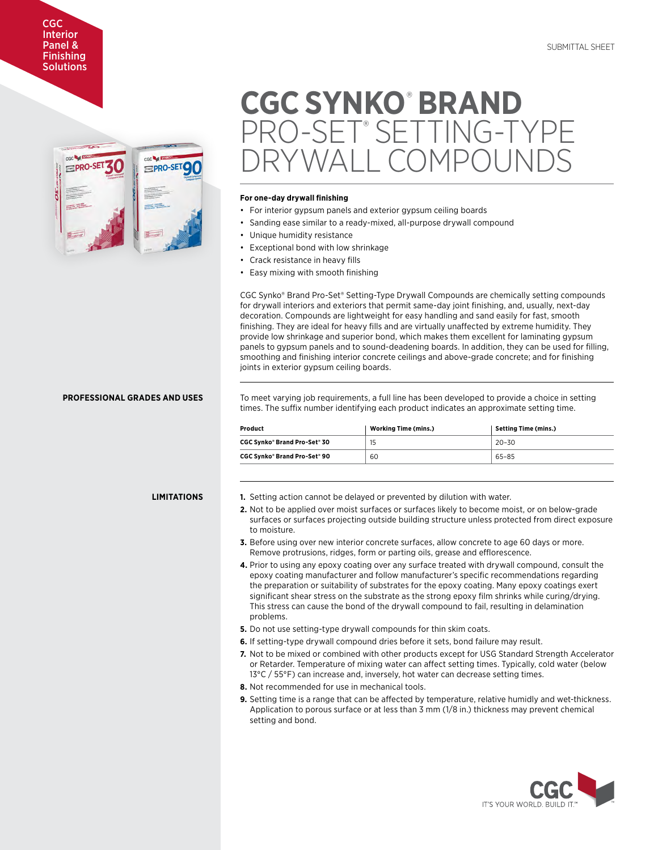# CGC Interior Panel & **Finishing** Solutions



# **CGC SYNKO**®  **BRAND**  PRO-SET® SETTING-TYPE COMP

### **For one-day drywall finishing**

- For interior gypsum panels and exterior gypsum ceiling boards
- Sanding ease similar to a ready-mixed, all-purpose drywall compound
- Unique humidity resistance
- Exceptional bond with low shrinkage
- Crack resistance in heavy fills
- Easy mixing with smooth finishing

CGC Synko® Brand Pro-Set® Setting-Type Drywall Compounds are chemically setting compounds for drywall interiors and exteriors that permit same-day joint finishing, and, usually, next-day decoration. Compounds are lightweight for easy handling and sand easily for fast, smooth finishing. They are ideal for heavy fills and are virtually unaffected by extreme humidity. They provide low shrinkage and superior bond, which makes them excellent for laminating gypsum panels to gypsum panels and to sound-deadening boards. In addition, they can be used for filling, smoothing and finishing interior concrete ceilings and above-grade concrete; and for finishing joints in exterior gypsum ceiling boards.

## **PROFESSIONAL GRADES AND USES**

To meet varying job requirements, a full line has been developed to provide a choice in setting times. The suffix number identifying each product indicates an approximate setting time.

| Product                             | <b>Working Time (mins.)</b> | Setting Time (mins.) |
|-------------------------------------|-----------------------------|----------------------|
| <b>CGC Synko* Brand Pro-Set* 30</b> | 15                          | $20 - 30$            |
| <b>CGC Synko* Brand Pro-Set* 90</b> | 60                          | 65-85                |

# **LIMITATIONS**

- **1.** Setting action cannot be delayed or prevented by dilution with water.
- **2.** Not to be applied over moist surfaces or surfaces likely to become moist, or on below-grade surfaces or surfaces projecting outside building structure unless protected from direct exposure to moisture.
- **3.** Before using over new interior concrete surfaces, allow concrete to age 60 days or more. Remove protrusions, ridges, form or parting oils, grease and efflorescence.
- **4.** Prior to using any epoxy coating over any surface treated with drywall compound, consult the epoxy coating manufacturer and follow manufacturer's specific recommendations regarding the preparation or suitability of substrates for the epoxy coating. Many epoxy coatings exert significant shear stress on the substrate as the strong epoxy film shrinks while curing/drying. This stress can cause the bond of the drywall compound to fail, resulting in delamination problems.
- **5.** Do not use setting-type drywall compounds for thin skim coats.
- **6.** If setting-type drywall compound dries before it sets, bond failure may result.
- **7.** Not to be mixed or combined with other products except for USG Standard Strength Accelerator or Retarder. Temperature of mixing water can affect setting times. Typically, cold water (below 13°C / 55°F) can increase and, inversely, hot water can decrease setting times.
- **8.** Not recommended for use in mechanical tools.
- **9.** Setting time is a range that can be affected by temperature, relative humidly and wet-thickness. Application to porous surface or at less than 3 mm (1/8 in.) thickness may prevent chemical setting and bond.

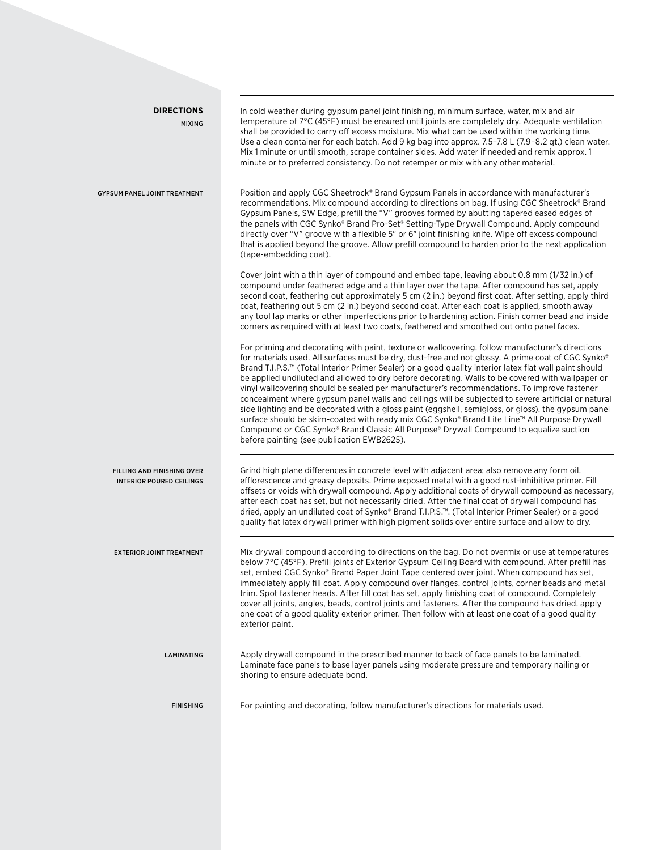| <b>DIRECTIONS</b><br><b>MIXING</b>                            | In cold weather during gypsum panel joint finishing, minimum surface, water, mix and air<br>temperature of 7°C (45°F) must be ensured until joints are completely dry. Adequate ventilation<br>shall be provided to carry off excess moisture. Mix what can be used within the working time.<br>Use a clean container for each batch. Add 9 kg bag into approx. 7.5-7.8 L (7.9-8.2 gt.) clean water.<br>Mix 1 minute or until smooth, scrape container sides. Add water if needed and remix approx. 1<br>minute or to preferred consistency. Do not retemper or mix with any other material.                                                                                                                                                                                                                                                                                                                                                                              |
|---------------------------------------------------------------|---------------------------------------------------------------------------------------------------------------------------------------------------------------------------------------------------------------------------------------------------------------------------------------------------------------------------------------------------------------------------------------------------------------------------------------------------------------------------------------------------------------------------------------------------------------------------------------------------------------------------------------------------------------------------------------------------------------------------------------------------------------------------------------------------------------------------------------------------------------------------------------------------------------------------------------------------------------------------|
| <b>GYPSUM PANEL JOINT TREATMENT</b>                           | Position and apply CGC Sheetrock® Brand Gypsum Panels in accordance with manufacturer's<br>recommendations. Mix compound according to directions on bag. If using CGC Sheetrock® Brand<br>Gypsum Panels, SW Edge, prefill the "V" grooves formed by abutting tapered eased edges of<br>the panels with CGC Synko® Brand Pro-Set® Setting-Type Drywall Compound. Apply compound<br>directly over "V" groove with a flexible 5" or 6" joint finishing knife. Wipe off excess compound<br>that is applied beyond the groove. Allow prefill compound to harden prior to the next application<br>(tape-embedding coat).                                                                                                                                                                                                                                                                                                                                                        |
|                                                               | Cover joint with a thin layer of compound and embed tape, leaving about 0.8 mm (1/32 in.) of<br>compound under feathered edge and a thin layer over the tape. After compound has set, apply<br>second coat, feathering out approximately 5 cm (2 in.) beyond first coat. After setting, apply third<br>coat, feathering out 5 cm (2 in.) beyond second coat. After each coat is applied, smooth away<br>any tool lap marks or other imperfections prior to hardening action. Finish corner bead and inside<br>corners as required with at least two coats, feathered and smoothed out onto panel faces.                                                                                                                                                                                                                                                                                                                                                                   |
|                                                               | For priming and decorating with paint, texture or wallcovering, follow manufacturer's directions<br>for materials used. All surfaces must be dry, dust-free and not glossy. A prime coat of CGC Synko®<br>Brand T.I.P.S.™ (Total Interior Primer Sealer) or a good quality interior latex flat wall paint should<br>be applied undiluted and allowed to dry before decorating. Walls to be covered with wallpaper or<br>vinyl wallcovering should be sealed per manufacturer's recommendations. To improve fastener<br>concealment where gypsum panel walls and ceilings will be subjected to severe artificial or natural<br>side lighting and be decorated with a gloss paint (eggshell, semigloss, or gloss), the gypsum panel<br>surface should be skim-coated with ready mix CGC Synko® Brand Lite Line™ All Purpose Drywall<br>Compound or CGC Synko® Brand Classic All Purpose® Drywall Compound to equalize suction<br>before painting (see publication EWB2625). |
| FILLING AND FINISHING OVER<br><b>INTERIOR POURED CEILINGS</b> | Grind high plane differences in concrete level with adjacent area; also remove any form oil,<br>efflorescence and greasy deposits. Prime exposed metal with a good rust-inhibitive primer. Fill<br>offsets or voids with drywall compound. Apply additional coats of drywall compound as necessary,<br>after each coat has set, but not necessarily dried. After the final coat of drywall compound has<br>dried, apply an undiluted coat of Synko® Brand T.I.P.S.™. (Total Interior Primer Sealer) or a good<br>quality flat latex drywall primer with high pigment solids over entire surface and allow to dry.                                                                                                                                                                                                                                                                                                                                                         |
| <b>EXTERIOR JOINT TREATMENT</b>                               | Mix drywall compound according to directions on the bag. Do not overmix or use at temperatures<br>below 7°C (45°F). Prefill joints of Exterior Gypsum Ceiling Board with compound. After prefill has<br>set, embed CGC Synko® Brand Paper Joint Tape centered over joint. When compound has set,<br>immediately apply fill coat. Apply compound over flanges, control joints, corner beads and metal<br>trim. Spot fastener heads. After fill coat has set, apply finishing coat of compound. Completely<br>cover all joints, angles, beads, control joints and fasteners. After the compound has dried, apply<br>one coat of a good quality exterior primer. Then follow with at least one coat of a good quality<br>exterior paint.                                                                                                                                                                                                                                     |
| LAMINATING                                                    | Apply drywall compound in the prescribed manner to back of face panels to be laminated.<br>Laminate face panels to base layer panels using moderate pressure and temporary nailing or<br>shoring to ensure adequate bond.                                                                                                                                                                                                                                                                                                                                                                                                                                                                                                                                                                                                                                                                                                                                                 |
| <b>FINISHING</b>                                              | For painting and decorating, follow manufacturer's directions for materials used.                                                                                                                                                                                                                                                                                                                                                                                                                                                                                                                                                                                                                                                                                                                                                                                                                                                                                         |
|                                                               |                                                                                                                                                                                                                                                                                                                                                                                                                                                                                                                                                                                                                                                                                                                                                                                                                                                                                                                                                                           |